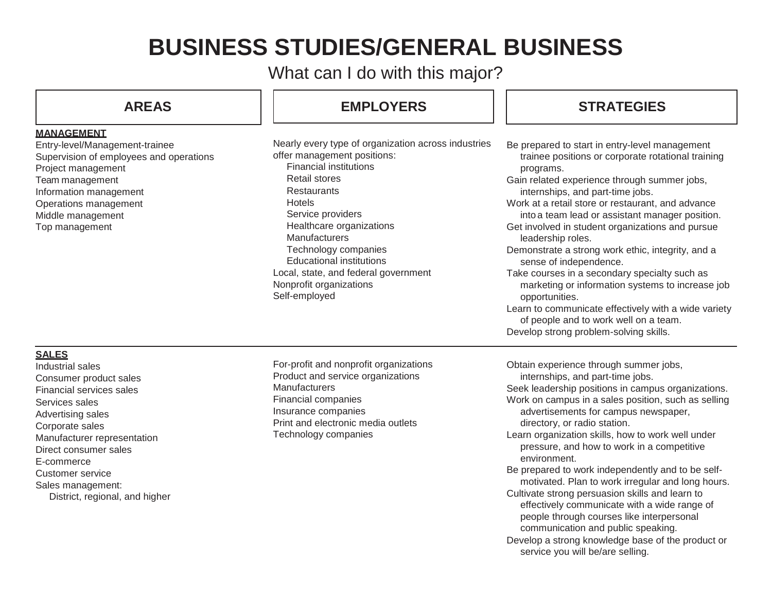# **BUSINESS STUDIES/GENERAL BUSINESS**

What can I do with this major?

## **MANAGEMENT**

Entry-level/Management-trainee Supervision of employees and operations Project management Team management Information management Operations management Middle management Top management

# **AREAS EMPLOYERS STRATEGIES**

Nearly every type of organization across in offer management positions:

Financial institutions Retail stores **Restaurants** Hotels Service providers Healthcare organizations **Manufacturers** Technology companies Educational institutions Local, state, and federal government Nonprofit organizations Self-employed

| dustries | Be prepared to start in entry-level management<br>trainee positions or corporate rotational training<br>programs.<br>Gain related experience through summer jobs,<br>internships, and part-time jobs.<br>Work at a retail store or restaurant, and advance<br>into a team lead or assistant manager position.<br>Get involved in student organizations and pursue<br>leadership roles.<br>Demonstrate a strong work ethic, integrity, and a<br>sense of independence.<br>Take courses in a secondary specialty such as<br>marketing or information systems to increase job<br>opportunities.<br>Learn to communicate effectively with a wide variety<br>of people and to work well on a team.<br>Develop strong problem-solving skills. |
|----------|-----------------------------------------------------------------------------------------------------------------------------------------------------------------------------------------------------------------------------------------------------------------------------------------------------------------------------------------------------------------------------------------------------------------------------------------------------------------------------------------------------------------------------------------------------------------------------------------------------------------------------------------------------------------------------------------------------------------------------------------|
|          | Obtain experience through summer jobs,<br>internships, and part-time jobs.<br>Seek leadership positions in campus organizations.<br>Work on campus in a sales position, such as selling<br>advertisements for campus newspaper,<br>directory, or radio station.                                                                                                                                                                                                                                                                                                                                                                                                                                                                         |

- Learn organization skills, how to work well under pressure, and how to work in a competitive environment.
- Be prepared to work independently and to be selfmotivated. Plan to work irregular and long hours. Cultivate strong persuasion skills and learn to
- effectively communicate with a wide range of people through courses like interpersonal communication and public speaking.
- Develop a strong knowledge base of the product or service you will be/are selling.

# **SALES**

Industrial sales Consumer product sales Financial services sales Services sales Advertising sales Corporate sales Manufacturer representation Direct consumer sales E-commerce Customer service Sales management: District, regional, and higher For-profit and nonprofit organizations Product and service organizations **Manufacturers** Financial companies Insurance companies Print and electronic media outlets Technology companies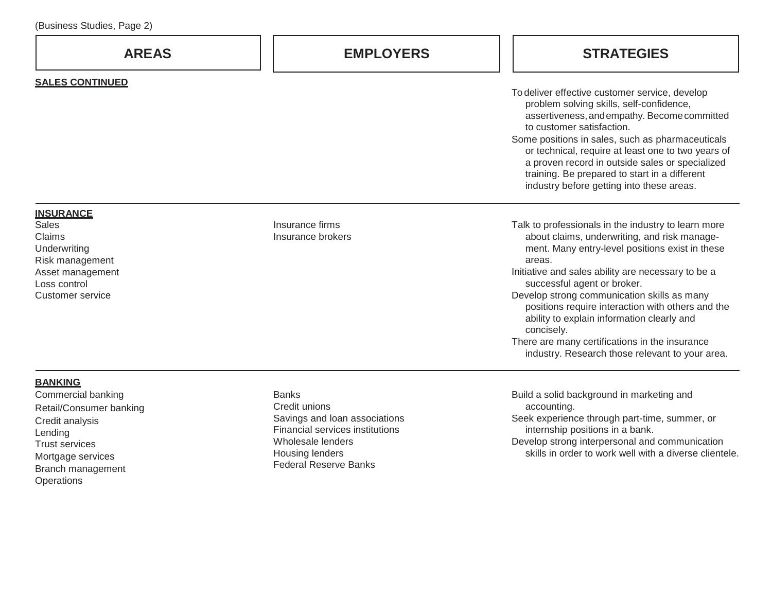Branch management

**Operations** 

| <b>AREAS</b>                                              | <b>EMPLOYERS</b>                                                 | <b>STRATEGIES</b>                                                                                                                                                                                                                                                                                                                                                                                                                  |
|-----------------------------------------------------------|------------------------------------------------------------------|------------------------------------------------------------------------------------------------------------------------------------------------------------------------------------------------------------------------------------------------------------------------------------------------------------------------------------------------------------------------------------------------------------------------------------|
| <b>SALES CONTINUED</b>                                    |                                                                  |                                                                                                                                                                                                                                                                                                                                                                                                                                    |
|                                                           |                                                                  | To deliver effective customer service, develop<br>problem solving skills, self-confidence,<br>assertiveness, and empathy. Become committed<br>to customer satisfaction.<br>Some positions in sales, such as pharmaceuticals<br>or technical, require at least one to two years of<br>a proven record in outside sales or specialized<br>training. Be prepared to start in a different<br>industry before getting into these areas. |
| <b>INSURANCE</b>                                          |                                                                  |                                                                                                                                                                                                                                                                                                                                                                                                                                    |
| <b>Sales</b><br>Claims<br>Underwriting<br>Risk management | Insurance firms<br>Insurance brokers                             | Talk to professionals in the industry to learn more<br>about claims, underwriting, and risk manage-<br>ment. Many entry-level positions exist in these<br>areas.                                                                                                                                                                                                                                                                   |
| Asset management<br>Loss control                          |                                                                  | Initiative and sales ability are necessary to be a<br>successful agent or broker.                                                                                                                                                                                                                                                                                                                                                  |
| <b>Customer service</b>                                   |                                                                  | Develop strong communication skills as many<br>positions require interaction with others and the<br>ability to explain information clearly and<br>concisely.                                                                                                                                                                                                                                                                       |
|                                                           |                                                                  | There are many certifications in the insurance<br>industry. Research those relevant to your area.                                                                                                                                                                                                                                                                                                                                  |
| <b>BANKING</b>                                            |                                                                  |                                                                                                                                                                                                                                                                                                                                                                                                                                    |
| Commercial banking                                        | <b>Banks</b><br>Credit unions                                    | Build a solid background in marketing and<br>accounting.                                                                                                                                                                                                                                                                                                                                                                           |
| Retail/Consumer banking<br>Credit analysis<br>Lending     | Savings and loan associations<br>Financial services institutions | Seek experience through part-time, summer, or<br>internship positions in a bank.                                                                                                                                                                                                                                                                                                                                                   |
| <b>Trust services</b><br>Mortgage services                | Wholesale lenders<br>Housing lenders                             | Develop strong interpersonal and communication<br>skills in order to work well with a diverse clientele.                                                                                                                                                                                                                                                                                                                           |

Federal Reserve Banks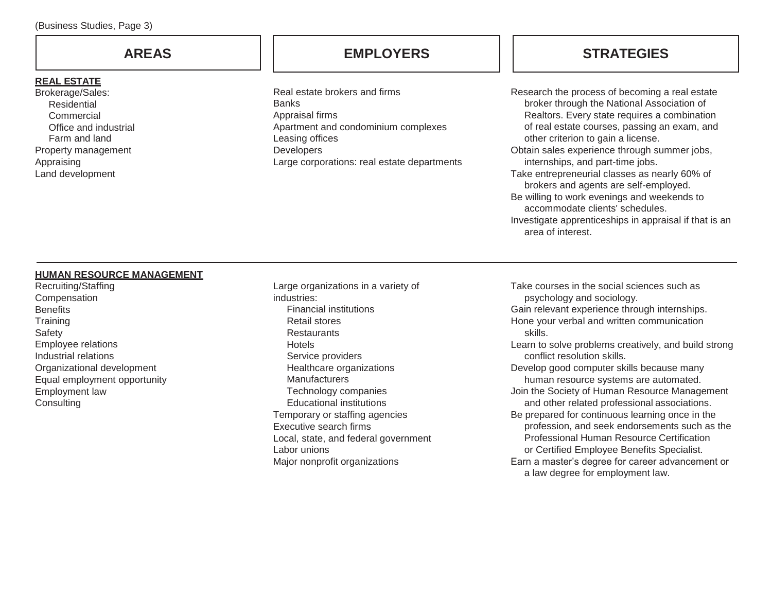# **REAL ESTATE**

Brokerage/Sales: Residential **Commercial** Office and industrial Farm and land Property management Appraising Land development

Real estate brokers and firms **Banks** Appraisal firms Apartment and condominium complexes Leasing offices **Developers** Large corporations: real estate departments

# **AREAS EMPLOYERS STRATEGIES**

Research the process of becoming a real estate broker through the National Association of Realtors. Every state requires a combination of real estate courses, passing an exam, and other criterion to gain a license. Obtain sales experience through summer jobs, internships, and part-time jobs.

- Take entrepreneurial classes as nearly 60% of brokers and agents are self-employed.
- Be willing to work evenings and weekends to accommodate clients' schedules. Investigate apprenticeships in appraisal if that is an
- area of interest.

### **HUMAN RESOURCE MANAGEMENT**

Recruiting/Staffing **Compensation Benefits Training** Safety Employee relations Industrial relations Organizational development Equal employment opportunity Employment law **Consulting** 

Large organizations in a variety of industries: Financial institutions Retail stores **Restaurants** Hotels Service providers Healthcare organizations **Manufacturers** Technology companies Educational institutions Temporary or staffing agencies Executive search firms Local, state, and federal government Labor unions Major nonprofit organizations

Take courses in the social sciences such as psychology and sociology. Gain relevant experience through internships. Hone your verbal and written communication skills. Learn to solve problems creatively, and build strong conflict resolution skills. Develop good computer skills because many human resource systems are automated. Join the Society of Human Resource Management and other related professional associations. Be prepared for continuous learning once in the profession, and seek endorsements such as the Professional Human Resource Certification or Certified Employee Benefits Specialist. Earn a master's degree for career advancement or a law degree for employment law.